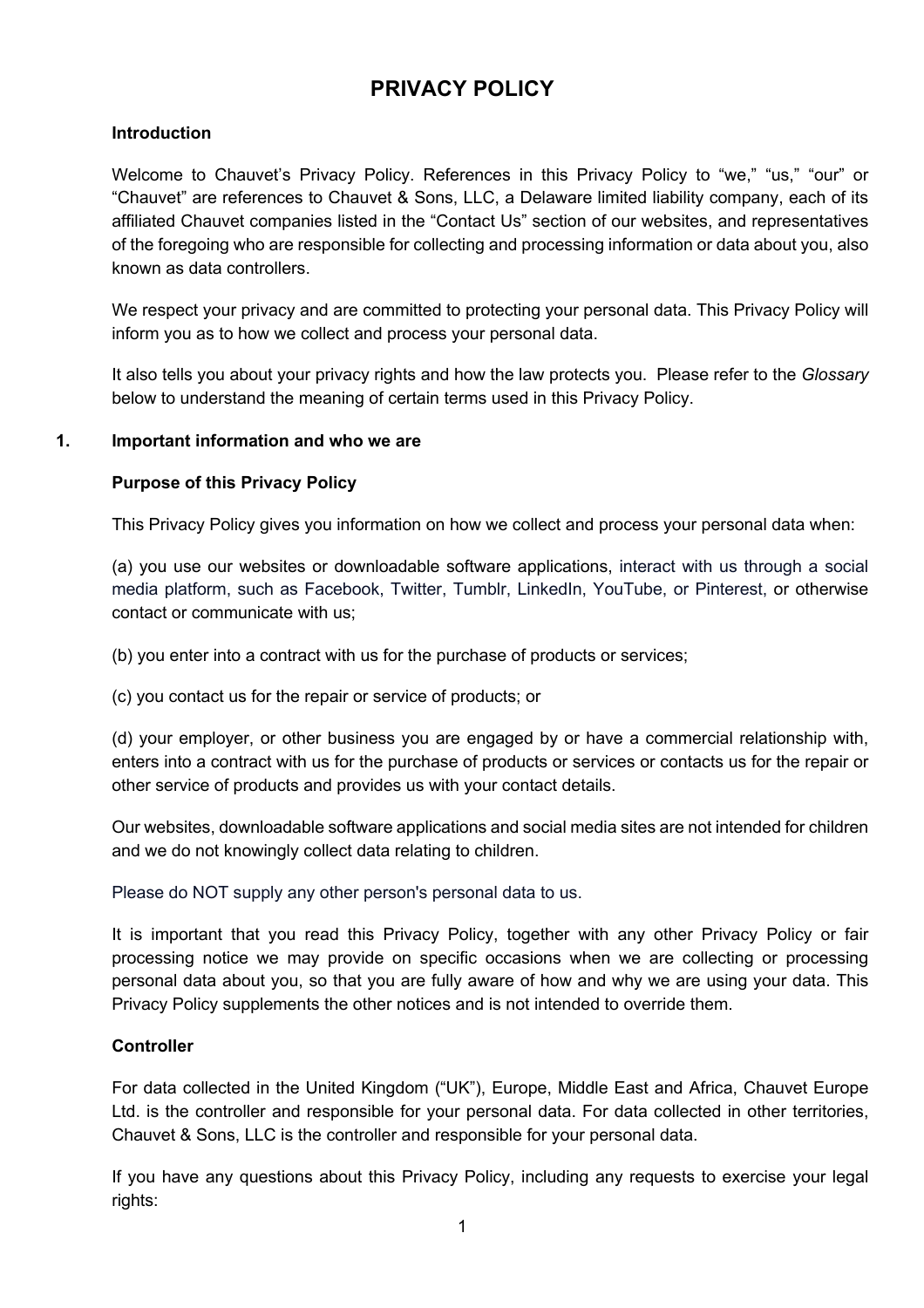# **PRIVACY POLICY**

# **Introduction**

Welcome to Chauvet's Privacy Policy. References in this Privacy Policy to "we," "us," "our" or "Chauvet" are references to Chauvet & Sons, LLC, a Delaware limited liability company, each of its affiliated Chauvet companies listed in the "Contact Us" section of our websites, and representatives of the foregoing who are responsible for collecting and processing information or data about you, also known as data controllers.

We respect your privacy and are committed to protecting your personal data. This Privacy Policy will inform you as to how we collect and process your personal data.

It also tells you about your privacy rights and how the law protects you. Please refer to the *Glossary* below to understand the meaning of certain terms used in this Privacy Policy.

# **1. Important information and who we are**

# **Purpose of this Privacy Policy**

This Privacy Policy gives you information on how we collect and process your personal data when:

(a) you use our websites or downloadable software applications, interact with us through a social media platform, such as Facebook, Twitter, Tumblr, LinkedIn, YouTube, or Pinterest, or otherwise contact or communicate with us;

(b) you enter into a contract with us for the purchase of products or services;

(c) you contact us for the repair or service of products; or

(d) your employer, or other business you are engaged by or have a commercial relationship with, enters into a contract with us for the purchase of products or services or contacts us for the repair or other service of products and provides us with your contact details.

Our websites, downloadable software applications and social media sites are not intended for children and we do not knowingly collect data relating to children.

Please do NOT supply any other person's personal data to us.

It is important that you read this Privacy Policy, together with any other Privacy Policy or fair processing notice we may provide on specific occasions when we are collecting or processing personal data about you, so that you are fully aware of how and why we are using your data. This Privacy Policy supplements the other notices and is not intended to override them.

# **Controller**

For data collected in the United Kingdom ("UK"), Europe, Middle East and Africa, Chauvet Europe Ltd. is the controller and responsible for your personal data. For data collected in other territories, Chauvet & Sons, LLC is the controller and responsible for your personal data.

If you have any questions about this Privacy Policy, including any requests to exercise your legal rights: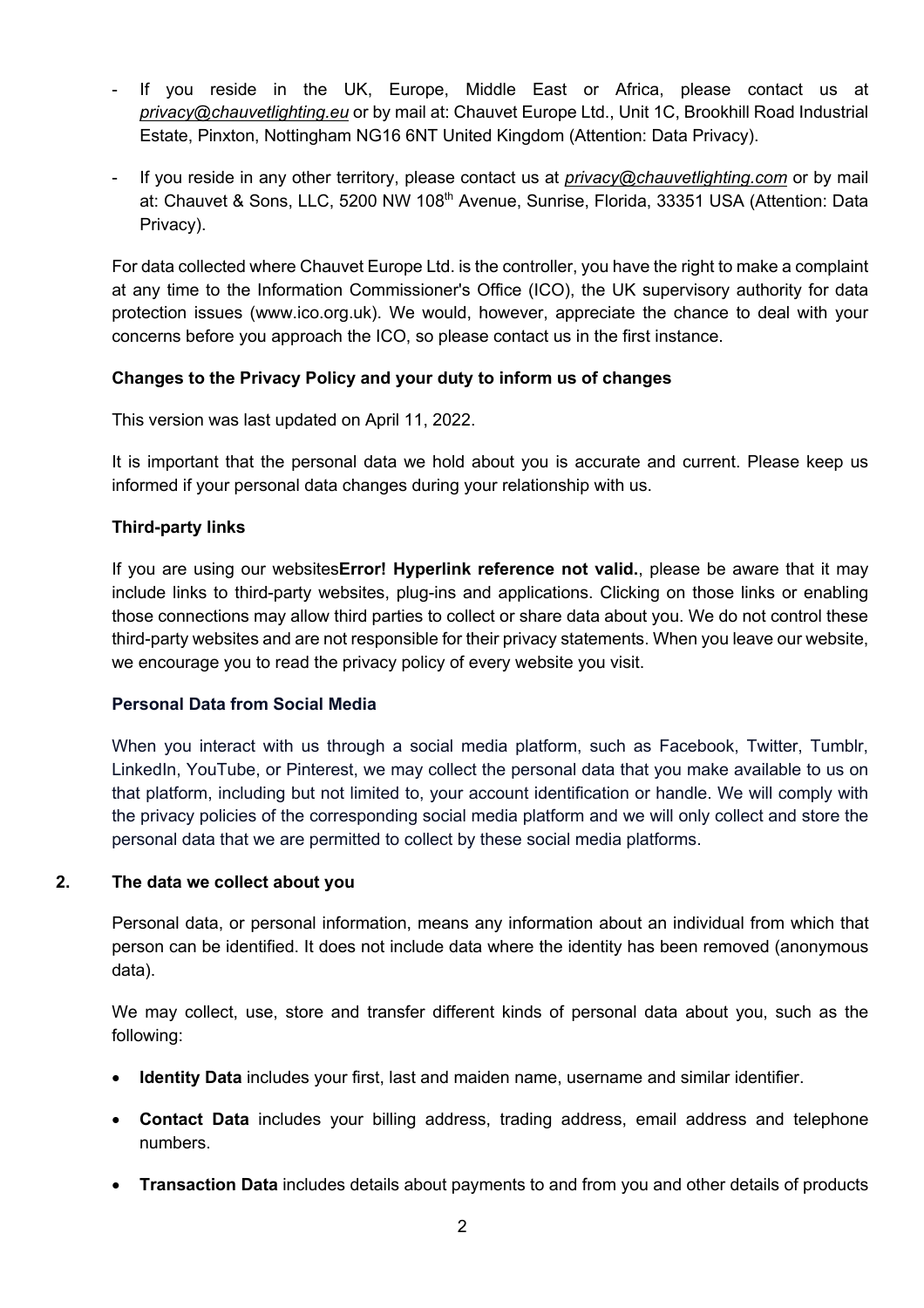- If you reside in the UK, Europe, Middle East or Africa, please contact us at *privacy@chauvetlighting.eu* or by mail at: Chauvet Europe Ltd., Unit 1C, Brookhill Road Industrial Estate, Pinxton, Nottingham NG16 6NT United Kingdom (Attention: Data Privacy).
- If you reside in any other territory, please contact us at *privacy@chauvetlighting.com* or by mail at: Chauvet & Sons, LLC, 5200 NW 108<sup>th</sup> Avenue, Sunrise, Florida, 33351 USA (Attention: Data Privacy).

For data collected where Chauvet Europe Ltd. is the controller, you have the right to make a complaint at any time to the Information Commissioner's Office (ICO), the UK supervisory authority for data protection issues (www.ico.org.uk). We would, however, appreciate the chance to deal with your concerns before you approach the ICO, so please contact us in the first instance.

# **Changes to the Privacy Policy and your duty to inform us of changes**

This version was last updated on April 11, 2022.

It is important that the personal data we hold about you is accurate and current. Please keep us informed if your personal data changes during your relationship with us.

# **Third-party links**

If you are using our websites**Error! Hyperlink reference not valid.**, please be aware that it may include links to third-party websites, plug-ins and applications. Clicking on those links or enabling those connections may allow third parties to collect or share data about you. We do not control these third-party websites and are not responsible for their privacy statements. When you leave our website, we encourage you to read the privacy policy of every website you visit.

#### **Personal Data from Social Media**

When you interact with us through a social media platform, such as Facebook, Twitter, Tumblr, LinkedIn, YouTube, or Pinterest, we may collect the personal data that you make available to us on that platform, including but not limited to, your account identification or handle. We will comply with the privacy policies of the corresponding social media platform and we will only collect and store the personal data that we are permitted to collect by these social media platforms.

#### **2. The data we collect about you**

Personal data, or personal information, means any information about an individual from which that person can be identified. It does not include data where the identity has been removed (anonymous data).

We may collect, use, store and transfer different kinds of personal data about you, such as the following:

- **Identity Data** includes your first, last and maiden name, username and similar identifier.
- **Contact Data** includes your billing address, trading address, email address and telephone numbers.
- **Transaction Data** includes details about payments to and from you and other details of products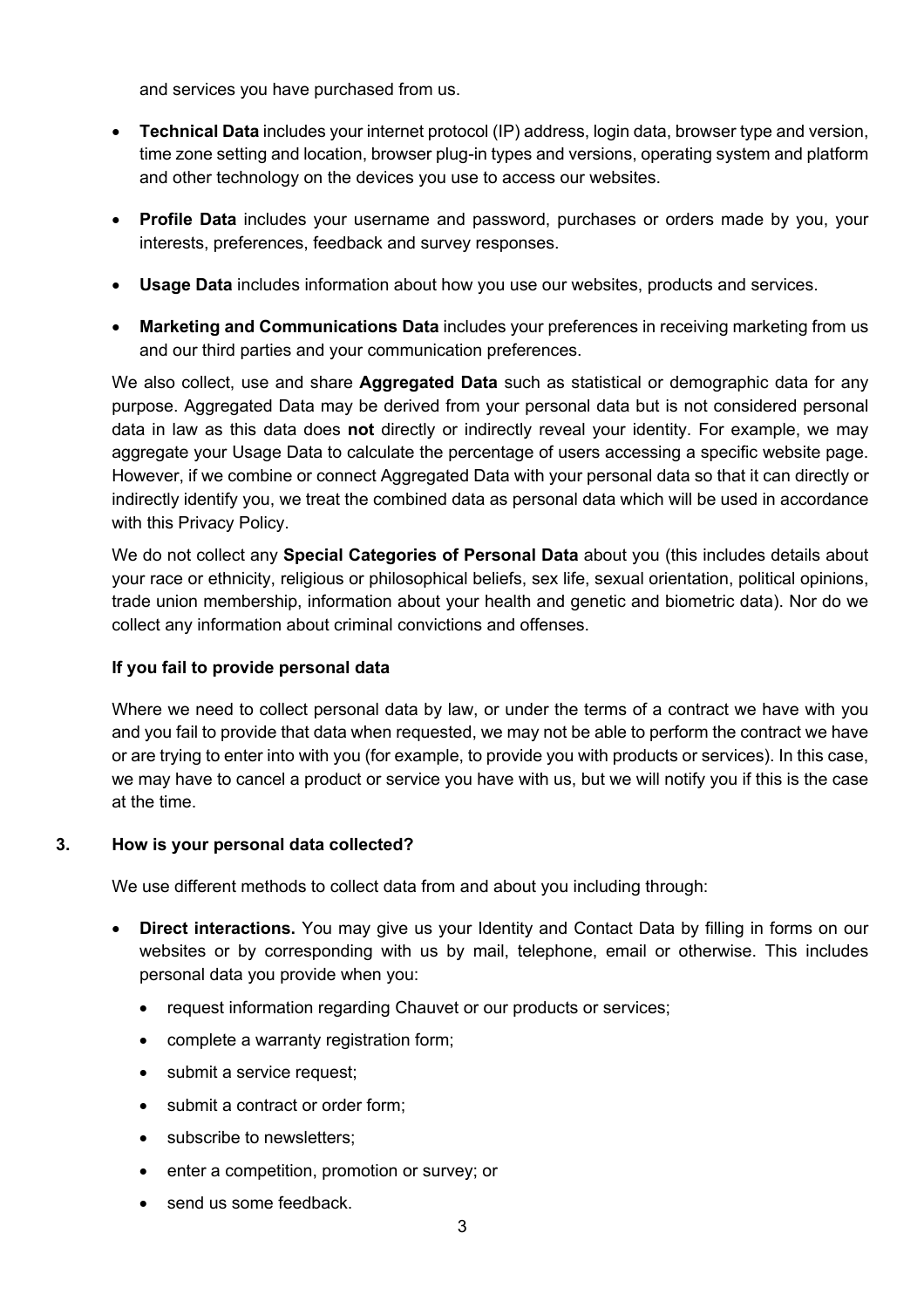and services you have purchased from us.

- **Technical Data** includes your internet protocol (IP) address, login data, browser type and version, time zone setting and location, browser plug-in types and versions, operating system and platform and other technology on the devices you use to access our websites.
- **Profile Data** includes your username and password, purchases or orders made by you, your interests, preferences, feedback and survey responses.
- **Usage Data** includes information about how you use our websites, products and services.
- **Marketing and Communications Data** includes your preferences in receiving marketing from us and our third parties and your communication preferences.

We also collect, use and share **Aggregated Data** such as statistical or demographic data for any purpose. Aggregated Data may be derived from your personal data but is not considered personal data in law as this data does **not** directly or indirectly reveal your identity. For example, we may aggregate your Usage Data to calculate the percentage of users accessing a specific website page. However, if we combine or connect Aggregated Data with your personal data so that it can directly or indirectly identify you, we treat the combined data as personal data which will be used in accordance with this Privacy Policy.

We do not collect any **Special Categories of Personal Data** about you (this includes details about your race or ethnicity, religious or philosophical beliefs, sex life, sexual orientation, political opinions, trade union membership, information about your health and genetic and biometric data). Nor do we collect any information about criminal convictions and offenses.

#### **If you fail to provide personal data**

Where we need to collect personal data by law, or under the terms of a contract we have with you and you fail to provide that data when requested, we may not be able to perform the contract we have or are trying to enter into with you (for example, to provide you with products or services). In this case, we may have to cancel a product or service you have with us, but we will notify you if this is the case at the time.

#### **3. How is your personal data collected?**

We use different methods to collect data from and about you including through:

- **Direct interactions.** You may give us your Identity and Contact Data by filling in forms on our websites or by corresponding with us by mail, telephone, email or otherwise. This includes personal data you provide when you:
	- request information regarding Chauvet or our products or services;
	- complete a warranty registration form;
	- submit a service request;
	- submit a contract or order form;
	- subscribe to newsletters;
	- enter a competition, promotion or survey; or
	- send us some feedback.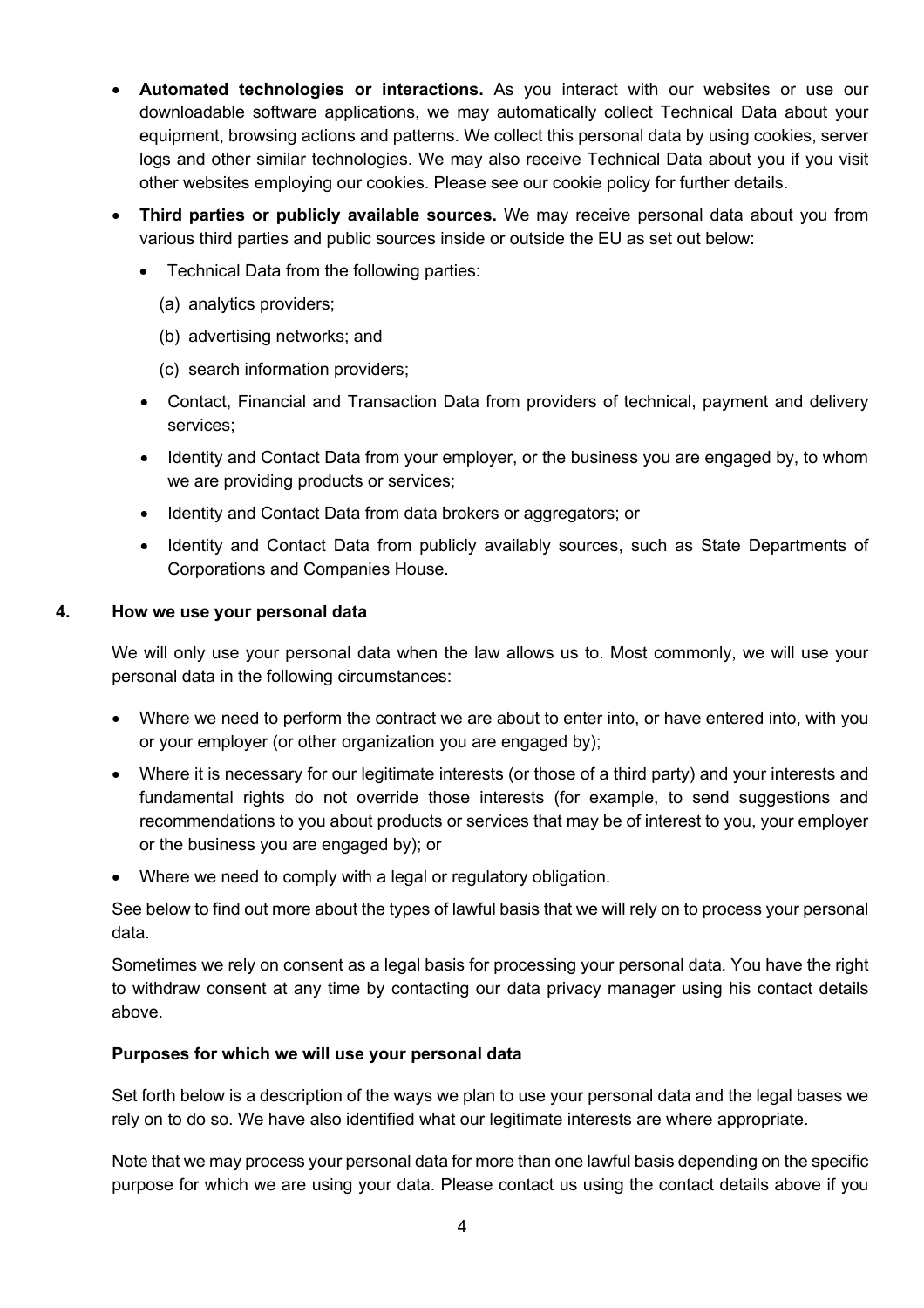- **Automated technologies or interactions.** As you interact with our websites or use our downloadable software applications, we may automatically collect Technical Data about your equipment, browsing actions and patterns. We collect this personal data by using cookies, server logs and other similar technologies. We may also receive Technical Data about you if you visit other websites employing our cookies. Please see our cookie policy for further details.
- **Third parties or publicly available sources.** We may receive personal data about you from various third parties and public sources inside or outside the EU as set out below:
	- Technical Data from the following parties:
		- (a) analytics providers;
		- (b) advertising networks; and
		- (c) search information providers;
	- Contact, Financial and Transaction Data from providers of technical, payment and delivery services;
	- Identity and Contact Data from your employer, or the business you are engaged by, to whom we are providing products or services;
	- Identity and Contact Data from data brokers or aggregators; or
	- Identity and Contact Data from publicly availably sources, such as State Departments of Corporations and Companies House.

#### **4. How we use your personal data**

We will only use your personal data when the law allows us to. Most commonly, we will use your personal data in the following circumstances:

- Where we need to perform the contract we are about to enter into, or have entered into, with you or your employer (or other organization you are engaged by);
- Where it is necessary for our legitimate interests (or those of a third party) and your interests and fundamental rights do not override those interests (for example, to send suggestions and recommendations to you about products or services that may be of interest to you, your employer or the business you are engaged by); or
- Where we need to comply with a legal or regulatory obligation.

See below to find out more about the types of lawful basis that we will rely on to process your personal data.

Sometimes we rely on consent as a legal basis for processing your personal data. You have the right to withdraw consent at any time by contacting our data privacy manager using his contact details above.

#### **Purposes for which we will use your personal data**

Set forth below is a description of the ways we plan to use your personal data and the legal bases we rely on to do so. We have also identified what our legitimate interests are where appropriate.

Note that we may process your personal data for more than one lawful basis depending on the specific purpose for which we are using your data. Please contact us using the contact details above if you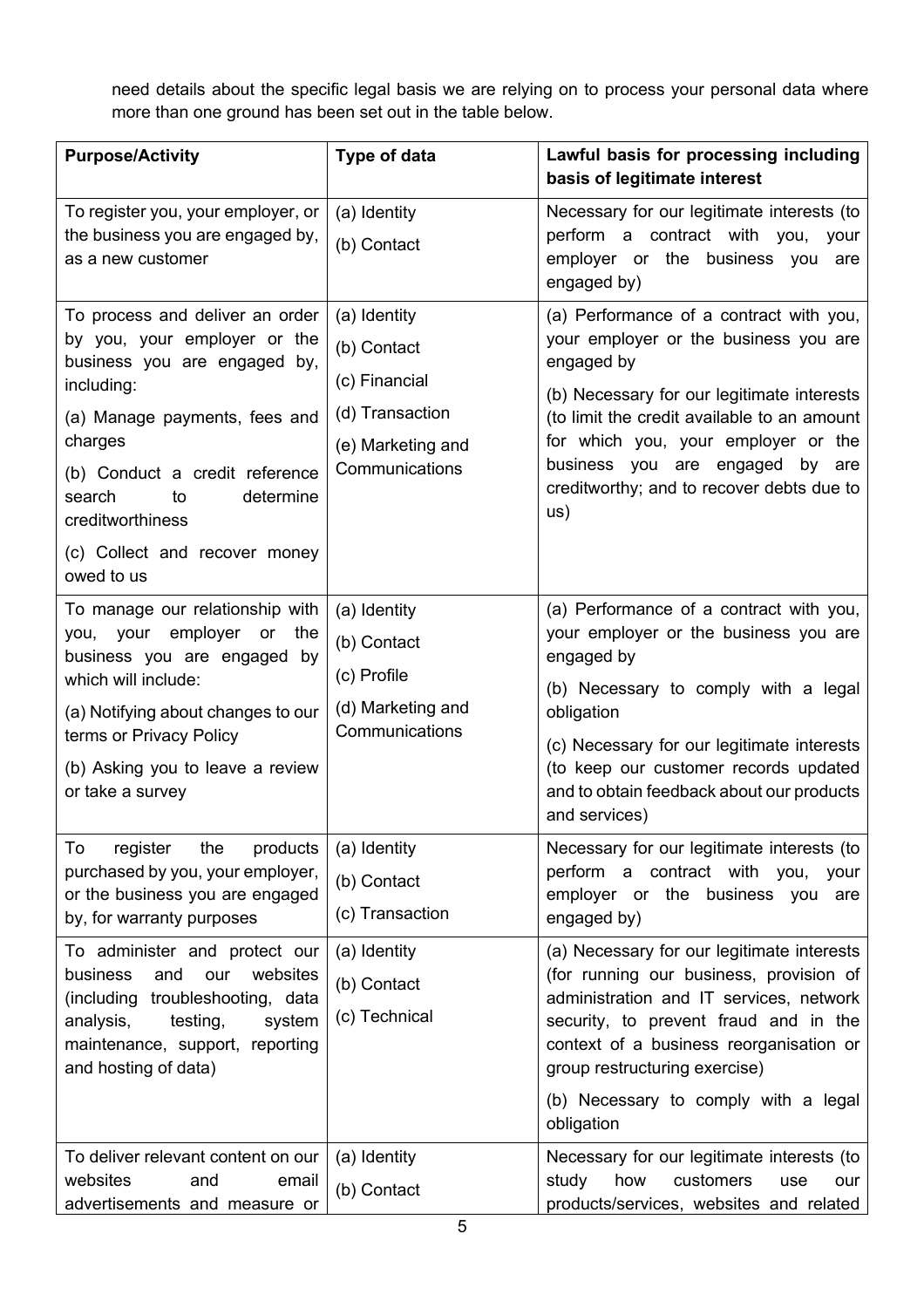need details about the specific legal basis we are relying on to process your personal data where more than one ground has been set out in the table below.

| <b>Purpose/Activity</b>                                                                                                                                                                                                                                                                     | Type of data                                                                                           | Lawful basis for processing including<br>basis of legitimate interest                                                                                                                                                                                                                                                                        |
|---------------------------------------------------------------------------------------------------------------------------------------------------------------------------------------------------------------------------------------------------------------------------------------------|--------------------------------------------------------------------------------------------------------|----------------------------------------------------------------------------------------------------------------------------------------------------------------------------------------------------------------------------------------------------------------------------------------------------------------------------------------------|
| To register you, your employer, or<br>the business you are engaged by,<br>as a new customer                                                                                                                                                                                                 | (a) Identity<br>(b) Contact                                                                            | Necessary for our legitimate interests (to<br>perform a contract with<br>you,<br>your<br>employer or the business you<br>are<br>engaged by)                                                                                                                                                                                                  |
| To process and deliver an order<br>by you, your employer or the<br>business you are engaged by,<br>including:<br>(a) Manage payments, fees and<br>charges<br>(b) Conduct a credit reference<br>determine<br>search<br>to<br>creditworthiness<br>(c) Collect and recover money<br>owed to us | (a) Identity<br>(b) Contact<br>(c) Financial<br>(d) Transaction<br>(e) Marketing and<br>Communications | (a) Performance of a contract with you,<br>your employer or the business you are<br>engaged by<br>(b) Necessary for our legitimate interests<br>(to limit the credit available to an amount<br>for which you, your employer or the<br>business you are engaged by are<br>creditworthy; and to recover debts due to<br>$\mathsf{u}\mathsf{s}$ |
| To manage our relationship with<br>employer<br>you, your<br>the<br>or<br>business you are engaged by<br>which will include:<br>(a) Notifying about changes to our<br>terms or Privacy Policy<br>(b) Asking you to leave a review<br>or take a survey                                        | (a) Identity<br>(b) Contact<br>(c) Profile<br>(d) Marketing and<br>Communications                      | (a) Performance of a contract with you,<br>your employer or the business you are<br>engaged by<br>(b) Necessary to comply with a legal<br>obligation<br>(c) Necessary for our legitimate interests<br>(to keep our customer records updated<br>and to obtain feedback about our products<br>and services)                                    |
| To<br>register<br>the<br>products<br>purchased by you, your employer,<br>or the business you are engaged<br>by, for warranty purposes                                                                                                                                                       | (a) Identity<br>(b) Contact<br>(c) Transaction                                                         | Necessary for our legitimate interests (to<br>perform a contract with you, your<br>employer or the business you<br>are<br>engaged by)                                                                                                                                                                                                        |
| To administer and protect our<br>websites<br>business<br>and<br>our<br>(including troubleshooting, data<br>testing,<br>analysis,<br>system<br>maintenance, support, reporting<br>and hosting of data)                                                                                       | (a) Identity<br>(b) Contact<br>(c) Technical                                                           | (a) Necessary for our legitimate interests<br>(for running our business, provision of<br>administration and IT services, network<br>security, to prevent fraud and in the<br>context of a business reorganisation or<br>group restructuring exercise)<br>(b) Necessary to comply with a legal<br>obligation                                  |
| To deliver relevant content on our<br>websites<br>and<br>email<br>advertisements and measure or                                                                                                                                                                                             | (a) Identity<br>(b) Contact                                                                            | Necessary for our legitimate interests (to<br>customers<br>study<br>how<br>use<br>our<br>products/services, websites and related                                                                                                                                                                                                             |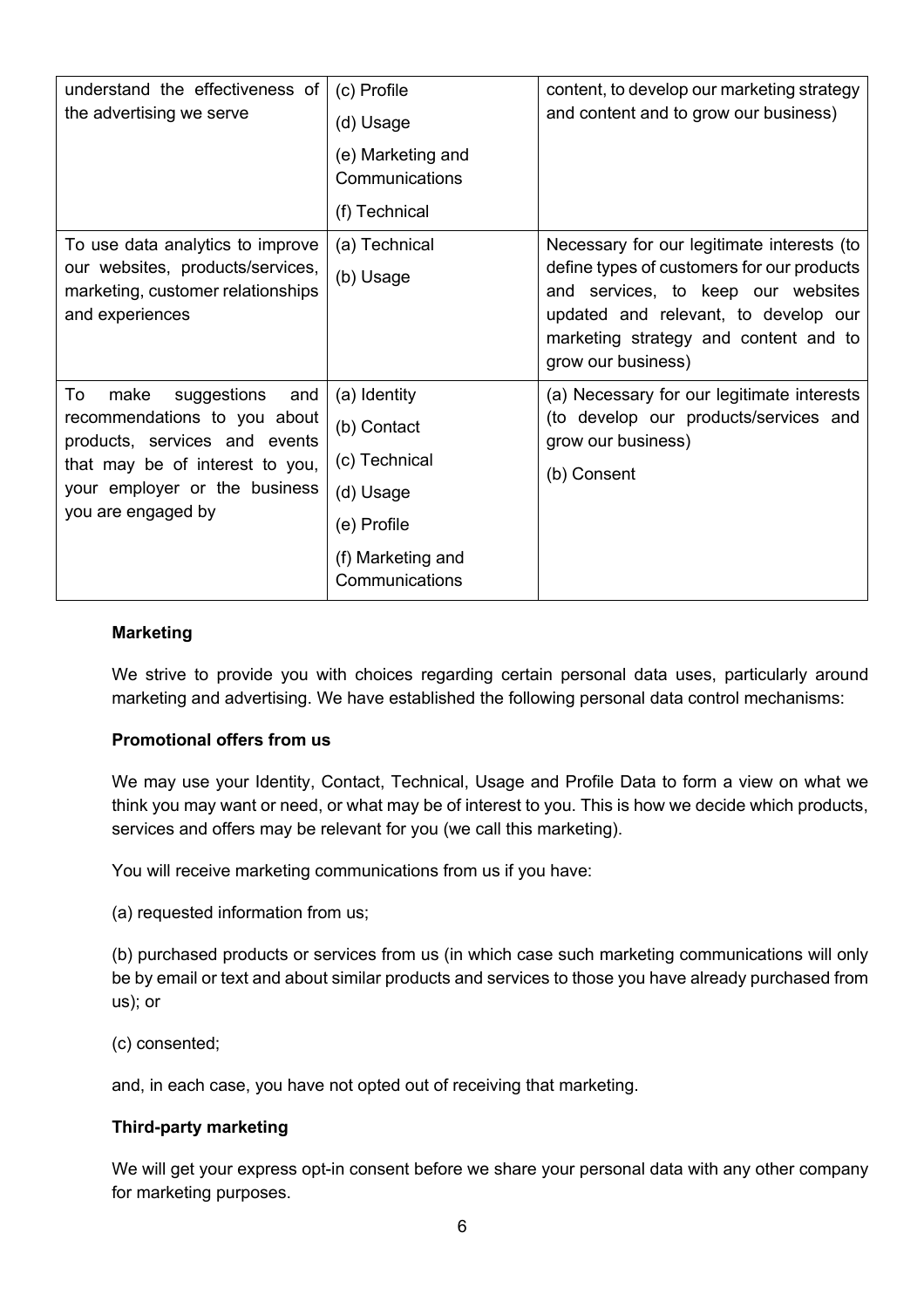| understand the effectiveness of<br>the advertising we serve                                                                                                                                 | (c) Profile<br>(d) Usage<br>(e) Marketing and<br>Communications<br>(f) Technical                                | content, to develop our marketing strategy<br>and content and to grow our business)                                                                                                                                                   |
|---------------------------------------------------------------------------------------------------------------------------------------------------------------------------------------------|-----------------------------------------------------------------------------------------------------------------|---------------------------------------------------------------------------------------------------------------------------------------------------------------------------------------------------------------------------------------|
| To use data analytics to improve<br>our websites, products/services,<br>marketing, customer relationships<br>and experiences                                                                | (a) Technical<br>(b) Usage                                                                                      | Necessary for our legitimate interests (to<br>define types of customers for our products<br>and services, to keep our websites<br>updated and relevant, to develop our<br>marketing strategy and content and to<br>grow our business) |
| To<br>suggestions<br>make<br>and<br>recommendations to you about<br>products, services and events<br>that may be of interest to you,<br>your employer or the business<br>you are engaged by | (a) Identity<br>(b) Contact<br>(c) Technical<br>(d) Usage<br>(e) Profile<br>(f) Marketing and<br>Communications | (a) Necessary for our legitimate interests<br>(to develop our products/services and<br>grow our business)<br>(b) Consent                                                                                                              |

# **Marketing**

We strive to provide you with choices regarding certain personal data uses, particularly around marketing and advertising. We have established the following personal data control mechanisms:

# **Promotional offers from us**

We may use your Identity, Contact, Technical, Usage and Profile Data to form a view on what we think you may want or need, or what may be of interest to you. This is how we decide which products, services and offers may be relevant for you (we call this marketing).

You will receive marketing communications from us if you have:

(a) requested information from us;

(b) purchased products or services from us (in which case such marketing communications will only be by email or text and about similar products and services to those you have already purchased from us); or

(c) consented;

and, in each case, you have not opted out of receiving that marketing.

# **Third-party marketing**

We will get your express opt-in consent before we share your personal data with any other company for marketing purposes.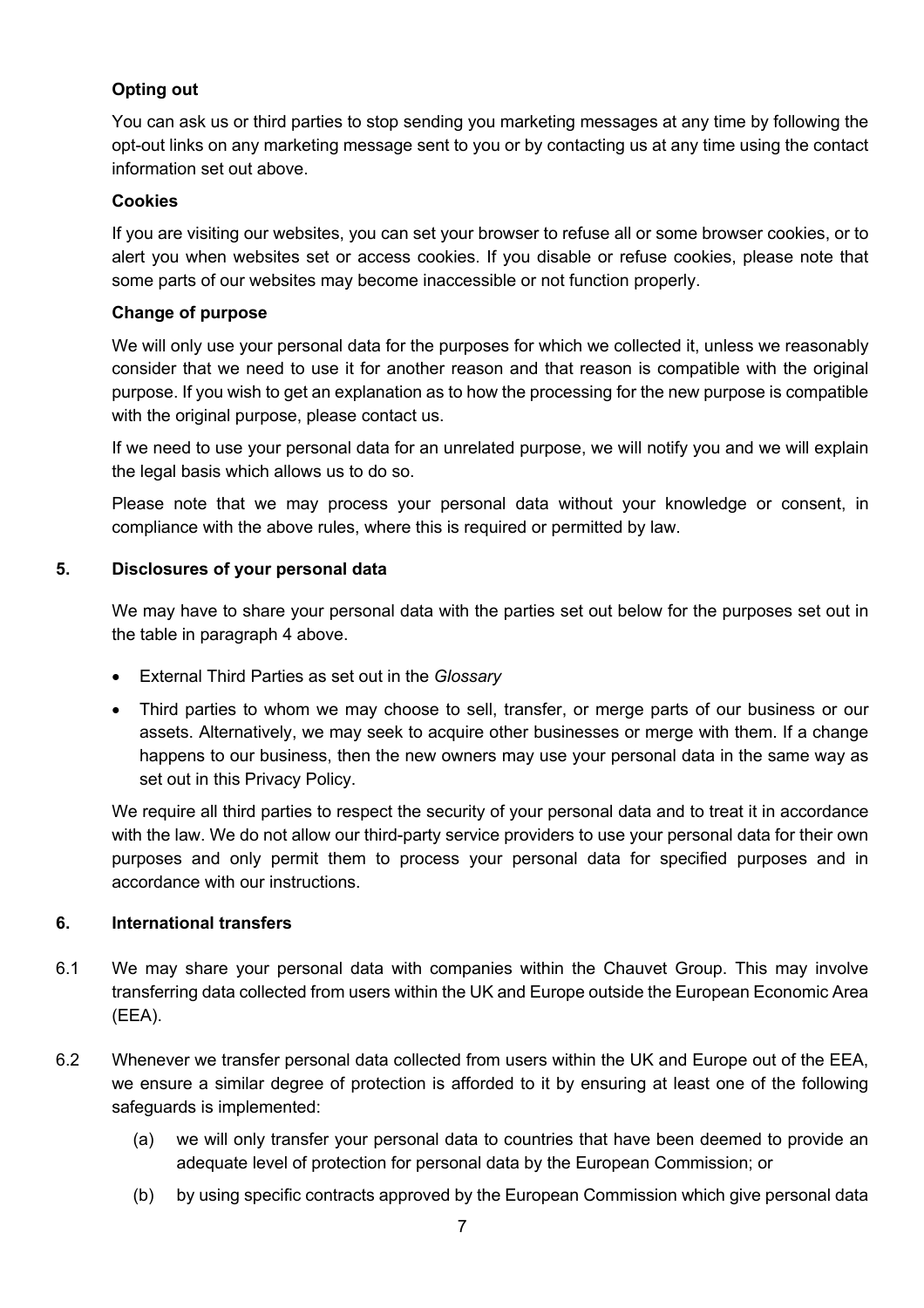# **Opting out**

You can ask us or third parties to stop sending you marketing messages at any time by following the opt-out links on any marketing message sent to you or by contacting us at any time using the contact information set out above.

# **Cookies**

If you are visiting our websites, you can set your browser to refuse all or some browser cookies, or to alert you when websites set or access cookies. If you disable or refuse cookies, please note that some parts of our websites may become inaccessible or not function properly.

#### **Change of purpose**

We will only use your personal data for the purposes for which we collected it, unless we reasonably consider that we need to use it for another reason and that reason is compatible with the original purpose. If you wish to get an explanation as to how the processing for the new purpose is compatible with the original purpose, please contact us.

If we need to use your personal data for an unrelated purpose, we will notify you and we will explain the legal basis which allows us to do so.

Please note that we may process your personal data without your knowledge or consent, in compliance with the above rules, where this is required or permitted by law.

# **5. Disclosures of your personal data**

We may have to share your personal data with the parties set out below for the purposes set out in the table in paragraph 4 above.

- External Third Parties as set out in the *Glossary*
- Third parties to whom we may choose to sell, transfer, or merge parts of our business or our assets. Alternatively, we may seek to acquire other businesses or merge with them. If a change happens to our business, then the new owners may use your personal data in the same way as set out in this Privacy Policy.

We require all third parties to respect the security of your personal data and to treat it in accordance with the law. We do not allow our third-party service providers to use your personal data for their own purposes and only permit them to process your personal data for specified purposes and in accordance with our instructions.

#### **6. International transfers**

- 6.1 We may share your personal data with companies within the Chauvet Group. This may involve transferring data collected from users within the UK and Europe outside the European Economic Area (EEA).
- 6.2 Whenever we transfer personal data collected from users within the UK and Europe out of the EEA, we ensure a similar degree of protection is afforded to it by ensuring at least one of the following safeguards is implemented:
	- (a) we will only transfer your personal data to countries that have been deemed to provide an adequate level of protection for personal data by the European Commission; or
	- (b) by using specific contracts approved by the European Commission which give personal data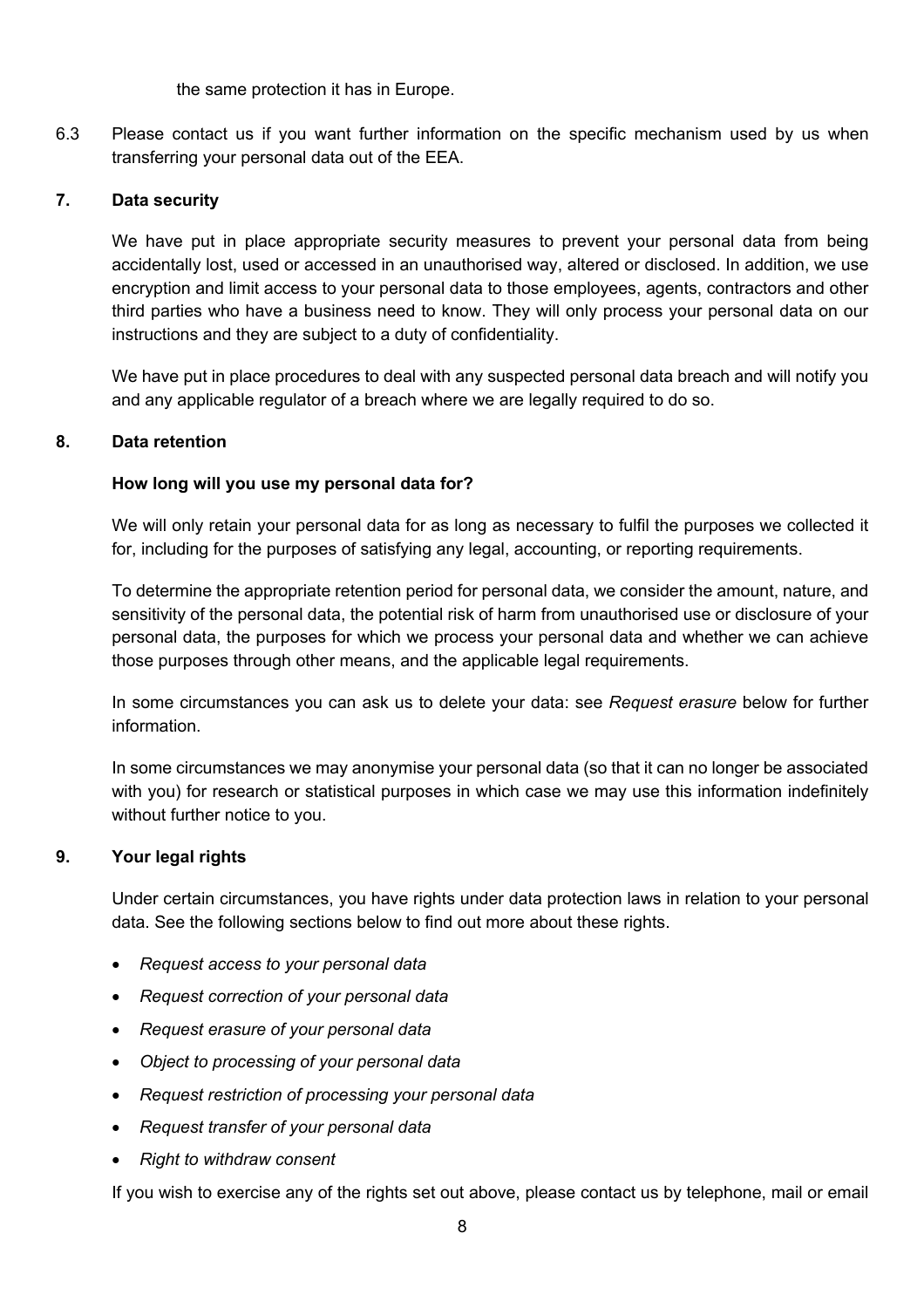the same protection it has in Europe.

6.3 Please contact us if you want further information on the specific mechanism used by us when transferring your personal data out of the EEA.

# **7. Data security**

We have put in place appropriate security measures to prevent your personal data from being accidentally lost, used or accessed in an unauthorised way, altered or disclosed. In addition, we use encryption and limit access to your personal data to those employees, agents, contractors and other third parties who have a business need to know. They will only process your personal data on our instructions and they are subject to a duty of confidentiality.

We have put in place procedures to deal with any suspected personal data breach and will notify you and any applicable regulator of a breach where we are legally required to do so.

#### **8. Data retention**

# **How long will you use my personal data for?**

We will only retain your personal data for as long as necessary to fulfil the purposes we collected it for, including for the purposes of satisfying any legal, accounting, or reporting requirements.

To determine the appropriate retention period for personal data, we consider the amount, nature, and sensitivity of the personal data, the potential risk of harm from unauthorised use or disclosure of your personal data, the purposes for which we process your personal data and whether we can achieve those purposes through other means, and the applicable legal requirements.

In some circumstances you can ask us to delete your data: see *Request erasure* below for further information.

In some circumstances we may anonymise your personal data (so that it can no longer be associated with you) for research or statistical purposes in which case we may use this information indefinitely without further notice to you.

#### **9. Your legal rights**

Under certain circumstances, you have rights under data protection laws in relation to your personal data. See the following sections below to find out more about these rights.

- *Request access to your personal data*
- *Request correction of your personal data*
- *Request erasure of your personal data*
- *Object to processing of your personal data*
- *Request restriction of processing your personal data*
- *Request transfer of your personal data*
- *Right to withdraw consent*

If you wish to exercise any of the rights set out above, please contact us by telephone, mail or email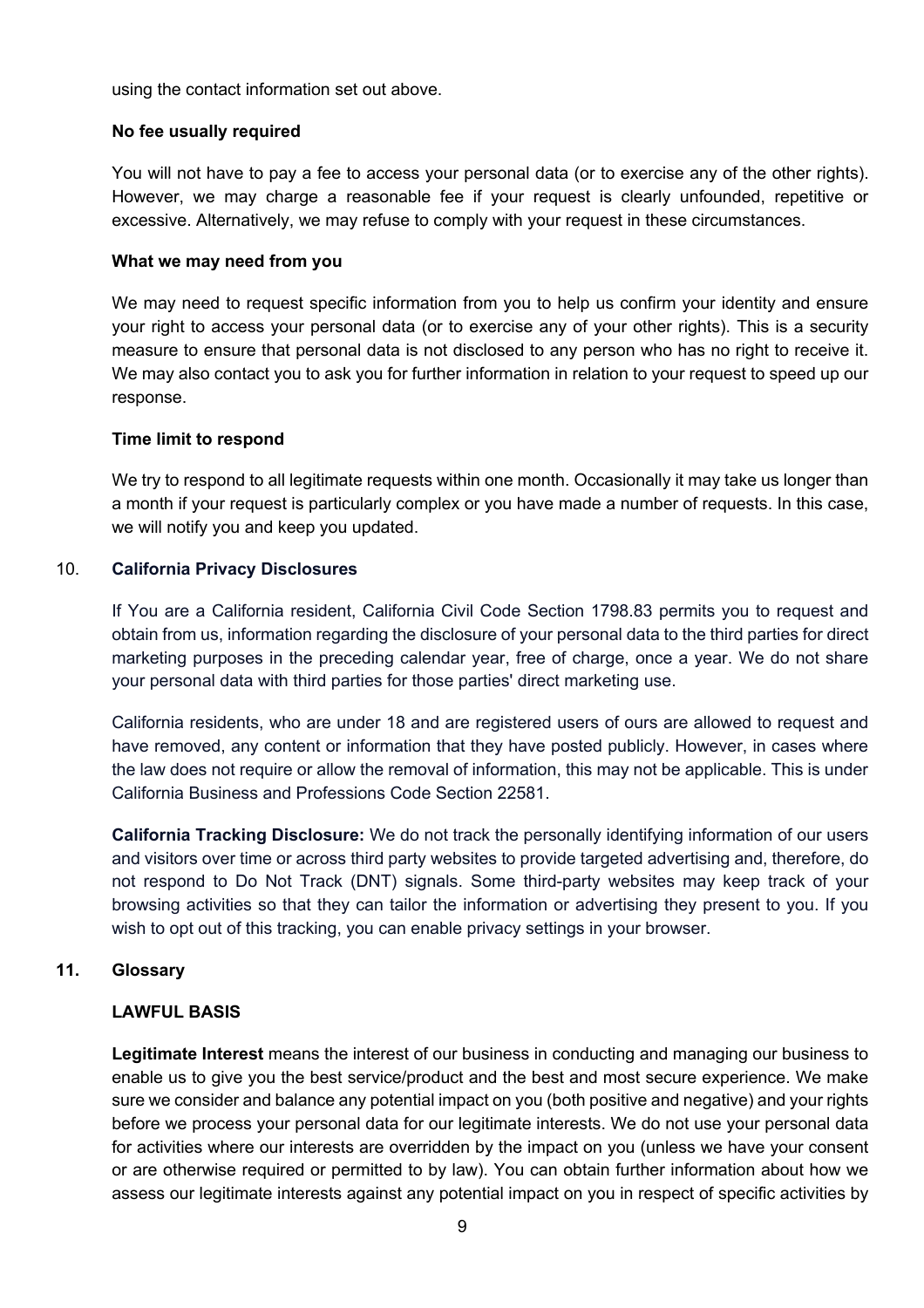using the contact information set out above.

## **No fee usually required**

You will not have to pay a fee to access your personal data (or to exercise any of the other rights). However, we may charge a reasonable fee if your request is clearly unfounded, repetitive or excessive. Alternatively, we may refuse to comply with your request in these circumstances.

#### **What we may need from you**

We may need to request specific information from you to help us confirm your identity and ensure your right to access your personal data (or to exercise any of your other rights). This is a security measure to ensure that personal data is not disclosed to any person who has no right to receive it. We may also contact you to ask you for further information in relation to your request to speed up our response.

# **Time limit to respond**

We try to respond to all legitimate requests within one month. Occasionally it may take us longer than a month if your request is particularly complex or you have made a number of requests. In this case, we will notify you and keep you updated.

# 10. **California Privacy Disclosures**

If You are a California resident, California Civil Code Section 1798.83 permits you to request and obtain from us, information regarding the disclosure of your personal data to the third parties for direct marketing purposes in the preceding calendar year, free of charge, once a year. We do not share your personal data with third parties for those parties' direct marketing use.

California residents, who are under 18 and are registered users of ours are allowed to request and have removed, any content or information that they have posted publicly. However, in cases where the law does not require or allow the removal of information, this may not be applicable. This is under California Business and Professions Code Section 22581.

**California Tracking Disclosure:** We do not track the personally identifying information of our users and visitors over time or across third party websites to provide targeted advertising and, therefore, do not respond to Do Not Track (DNT) signals. Some third-party websites may keep track of your browsing activities so that they can tailor the information or advertising they present to you. If you wish to opt out of this tracking, you can enable privacy settings in your browser.

# **11. Glossary**

# **LAWFUL BASIS**

**Legitimate Interest** means the interest of our business in conducting and managing our business to enable us to give you the best service/product and the best and most secure experience. We make sure we consider and balance any potential impact on you (both positive and negative) and your rights before we process your personal data for our legitimate interests. We do not use your personal data for activities where our interests are overridden by the impact on you (unless we have your consent or are otherwise required or permitted to by law). You can obtain further information about how we assess our legitimate interests against any potential impact on you in respect of specific activities by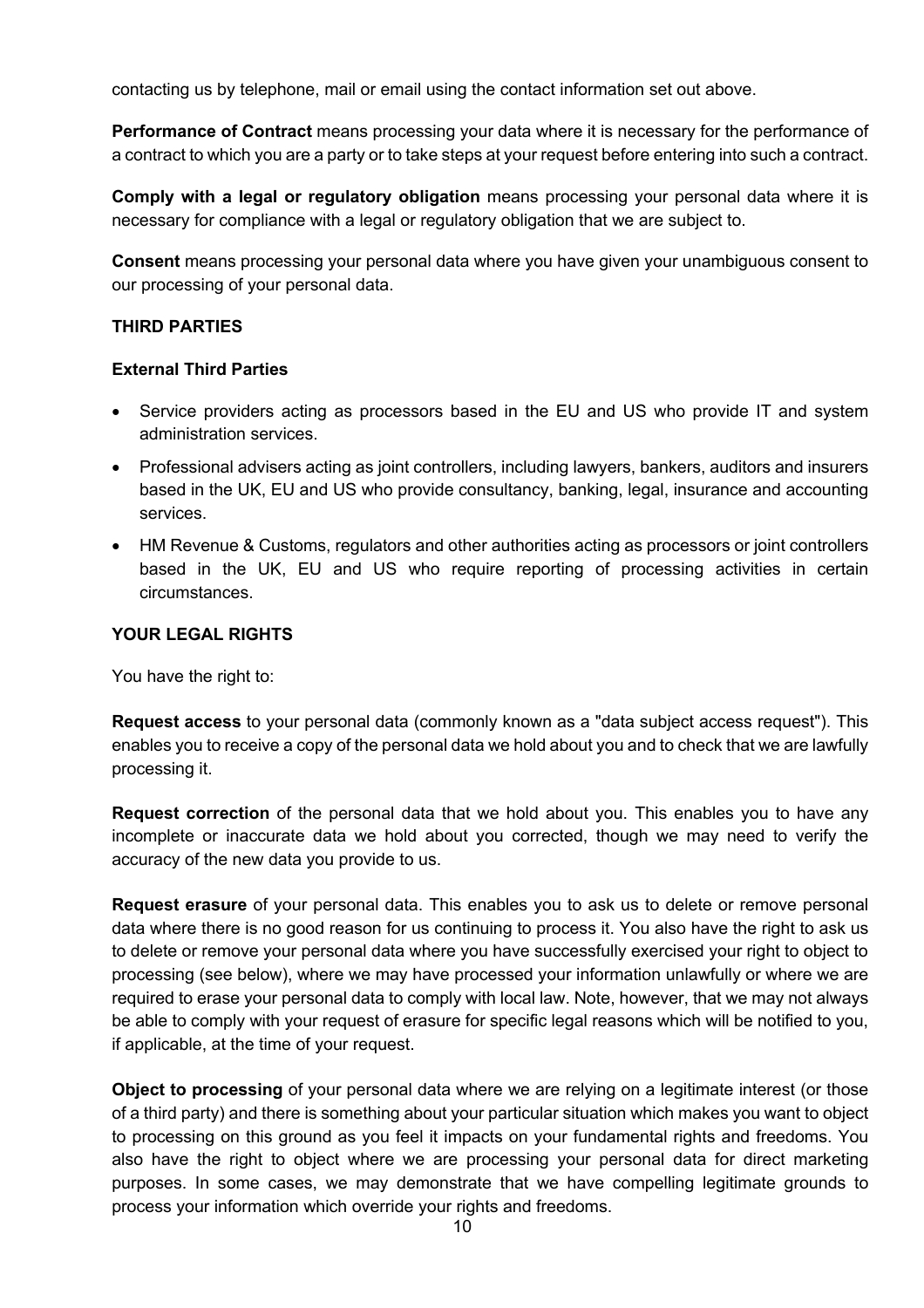contacting us by telephone, mail or email using the contact information set out above.

**Performance of Contract** means processing your data where it is necessary for the performance of a contract to which you are a party or to take steps at your request before entering into such a contract.

**Comply with a legal or regulatory obligation** means processing your personal data where it is necessary for compliance with a legal or regulatory obligation that we are subject to.

**Consent** means processing your personal data where you have given your unambiguous consent to our processing of your personal data.

# **THIRD PARTIES**

#### **External Third Parties**

- Service providers acting as processors based in the EU and US who provide IT and system administration services.
- Professional advisers acting as joint controllers, including lawyers, bankers, auditors and insurers based in the UK, EU and US who provide consultancy, banking, legal, insurance and accounting services.
- HM Revenue & Customs, regulators and other authorities acting as processors or joint controllers based in the UK, EU and US who require reporting of processing activities in certain circumstances.

# **YOUR LEGAL RIGHTS**

You have the right to:

**Request access** to your personal data (commonly known as a "data subject access request"). This enables you to receive a copy of the personal data we hold about you and to check that we are lawfully processing it.

**Request correction** of the personal data that we hold about you. This enables you to have any incomplete or inaccurate data we hold about you corrected, though we may need to verify the accuracy of the new data you provide to us.

**Request erasure** of your personal data. This enables you to ask us to delete or remove personal data where there is no good reason for us continuing to process it. You also have the right to ask us to delete or remove your personal data where you have successfully exercised your right to object to processing (see below), where we may have processed your information unlawfully or where we are required to erase your personal data to comply with local law. Note, however, that we may not always be able to comply with your request of erasure for specific legal reasons which will be notified to you, if applicable, at the time of your request.

**Object to processing** of your personal data where we are relying on a legitimate interest (or those of a third party) and there is something about your particular situation which makes you want to object to processing on this ground as you feel it impacts on your fundamental rights and freedoms. You also have the right to object where we are processing your personal data for direct marketing purposes. In some cases, we may demonstrate that we have compelling legitimate grounds to process your information which override your rights and freedoms.